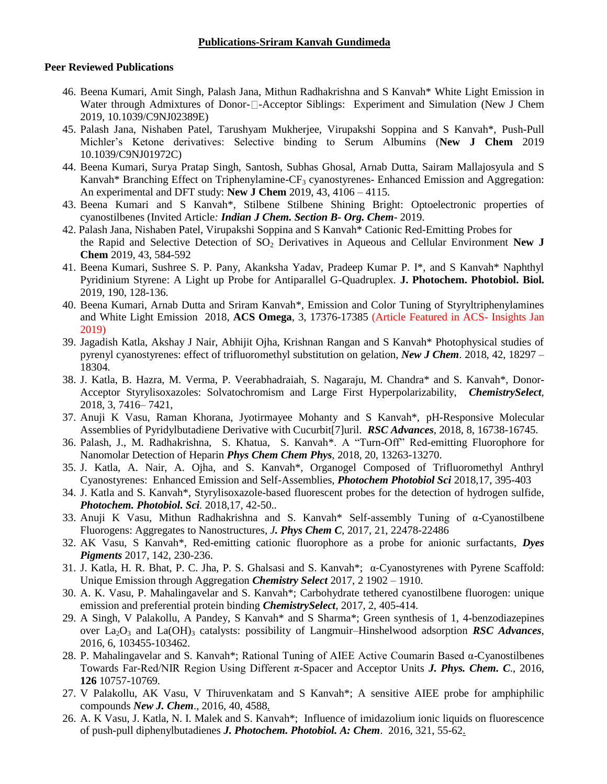### **Publications-Sriram Kanvah Gundimeda**

## **Peer Reviewed Publications**

- 46. Beena Kumari, Amit Singh, Palash Jana, Mithun Radhakrishna and S Kanvah\* White Light Emission in Water through Admixtures of Donor- $\Box$ -Acceptor Siblings: Experiment and Simulation (New J Chem 2019, 10.1039/C9NJ02389E)
- 45. Palash Jana, Nishaben Patel, Tarushyam Mukherjee, Virupakshi Soppina and S Kanvah\*, Push-Pull Michler's Ketone derivatives: Selective binding to Serum Albumins (**New J Chem** 2019 10.1039/C9NJ01972C)
- 44. Beena Kumari, Surya Pratap Singh, Santosh, Subhas Ghosal, Arnab Dutta, Sairam Mallajosyula and S Kanvah\* Branching Effect on Triphenylamine-CF<sub>3</sub> cyanostyrenes- Enhanced Emission and Aggregation: An experimental and DFT study: **New J Chem** 2019, 43, 4106 – 4115.
- 43. Beena Kumari and S Kanvah\*, Stilbene Stilbene Shining Bright: Optoelectronic properties of cyanostilbenes (Invited Article*: Indian J Chem. Section B- Org. Chem*- 2019.
- 42. Palash Jana, Nishaben Patel, Virupakshi Soppina and S Kanvah\* Cationic Red-Emitting Probes for the Rapid and Selective Detection of SO<sub>2</sub> Derivatives in Aqueous and Cellular Environment New J **Chem** 2019, 43, 584-592
- 41. Beena Kumari, Sushree S. P. Pany, Akanksha Yadav, Pradeep Kumar P. I\*, and S Kanvah\* Naphthyl Pyridinium Styrene: A Light up Probe for Antiparallel G-Quadruplex. **J. Photochem. Photobiol. Biol.** 2019, 190, 128-136.
- 40. Beena Kumari, Arnab Dutta and Sriram Kanvah\*, Emission and Color Tuning of Styryltriphenylamines and White Light Emission 2018, **ACS Omega**, 3, 17376-17385 (Article Featured in ACS- Insights Jan 2019)
- 39. Jagadish Katla, Akshay J Nair, Abhijit Ojha, Krishnan Rangan and S Kanvah\* Photophysical studies of pyrenyl cyanostyrenes: effect of trifluoromethyl substitution on gelation, *New J Chem*. 2018, 42, 18297 – 18304.
- 38. J. Katla, B. Hazra, M. Verma, P. Veerabhadraiah, S. Nagaraju, M. Chandra\* and S. Kanvah\*, Donor-Acceptor Styrylisoxazoles: Solvatochromism and Large First Hyperpolarizability, *ChemistrySelect*, 2018, 3, 7416– 7421,
- 37. Anuji K Vasu, Raman Khorana, Jyotirmayee Mohanty and S Kanvah\*, pH-Responsive Molecular Assemblies of Pyridylbutadiene Derivative with Cucurbit[7]uril. *RSC Advances*, 2018, 8, 16738-16745.
- 36. Palash, J., M. Radhakrishna, S. Khatua, S. Kanvah\*. A "Turn-Off" Red-emitting Fluorophore for Nanomolar Detection of Heparin *Phys Chem Chem Phys*, 2018, 20, 13263-13270.
- 35. J. Katla, A. Nair, A. Ojha, and S. Kanvah\*, Organogel Composed of Trifluoromethyl Anthryl Cyanostyrenes: Enhanced Emission and Self-Assemblies, *Photochem Photobiol Sci* 2018,17, 395-403
- 34. J. Katla and S. Kanvah\*, Styrylisoxazole-based fluorescent probes for the detection of hydrogen sulfide, *Photochem. Photobiol. Sci.* 2018,17, 42-50..
- 33. Anuji K Vasu, Mithun Radhakrishna and S. Kanvah\* Self-assembly Tuning of α-Cyanostilbene Fluorogens: Aggregates to Nanostructures, *J. Phys Chem C*, 2017, 21, 22478-22486
- 32. AK Vasu, S Kanvah\*, Red-emitting cationic fluorophore as a probe for anionic surfactants, *Dyes Pigments* 2017, 142, 230-236.
- 31. J. Katla, H. R. Bhat, P. C. Jha, P. S. Ghalsasi and S. Kanvah\*; α‐Cyanostyrenes with Pyrene Scaffold: Unique Emission through Aggregation *Chemistry Select* 2017, 2 1902 – 1910.
- 30. A. K. Vasu, P. Mahalingavelar and S. Kanvah\*; Carbohydrate tethered cyanostilbene fluorogen: unique emission and preferential protein binding *ChemistrySelect*, 2017, 2, 405-414.
- 29. A Singh, V Palakollu, A Pandey, S Kanvah\* and S Sharma\*; Green synthesis of 1, 4-benzodiazepines over La<sub>2</sub>O<sub>3</sub> and La(OH)<sub>3</sub> catalysts: possibility of Langmuir–Hinshelwood adsorption *RSC Advances*, 2016, 6, 103455-103462.
- 28. P. Mahalingavelar and S. Kanvah\*; Rational Tuning of AIEE Active Coumarin Based  $\alpha$ -Cyanostilbenes Towards Far-Red/NIR Region Using Different π-Spacer and Acceptor Units *J. Phys. Chem. C*., 2016, **126** 10757-10769.
- 27. V Palakollu, AK Vasu, V Thiruvenkatam and S Kanvah\*; A sensitive AIEE probe for amphiphilic compounds *New J. Chem*., 2016, 40, 4588.
- 26. A. K Vasu, J. Katla, N. I. Malek and S. Kanvah\*; Influence of imidazolium ionic liquids on fluorescence of push-pull diphenylbutadienes *J. Photochem. Photobiol. A: Chem*. 2016, 321, 55-62.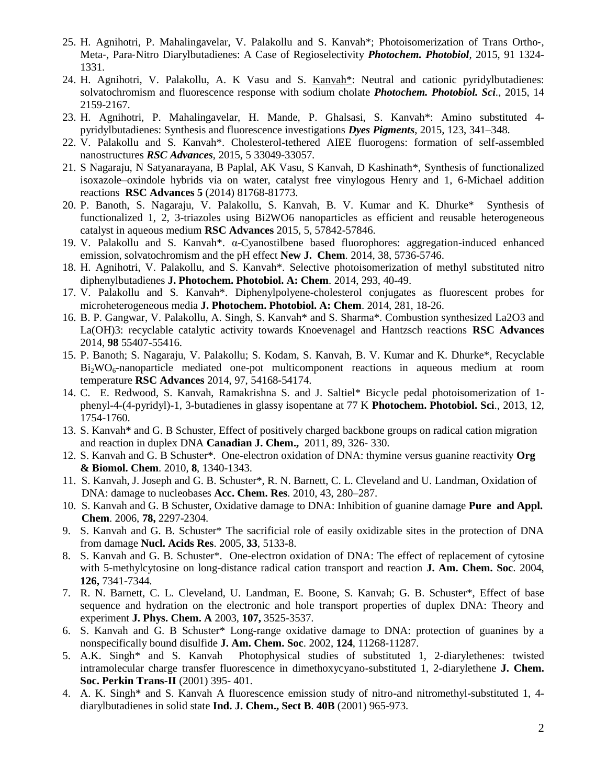- 25. H. Agnihotri, P. Mahalingavelar, V. Palakollu and S. Kanvah\*; Photoisomerization of Trans Ortho‐, Meta‐, Para‐Nitro Diarylbutadienes: A Case of Regioselectivity *Photochem. Photobiol*, 2015, 91 1324- 1331.
- 24. H. Agnihotri, V. Palakollu, A. K Vasu and S. Kanvah\*: Neutral and cationic pyridylbutadienes: solvatochromism and fluorescence response with sodium cholate *Photochem. Photobiol. Sci.*, 2015, 14 2159-2167.
- 23. H. Agnihotri, P. Mahalingavelar, H. Mande, P. Ghalsasi, S. Kanvah\*: Amino substituted 4 pyridylbutadienes: Synthesis and fluorescence investigations *Dyes Pigments*, 2015, 123, 341–348.
- 22. V. Palakollu and S. Kanvah\*. Cholesterol-tethered AIEE fluorogens: formation of self-assembled nanostructures *RSC Advances*, 2015, 5 33049-33057.
- 21. S Nagaraju, N Satyanarayana, B Paplal, AK Vasu, S Kanvah, D Kashinath\*, Synthesis of functionalized isoxazole–oxindole hybrids via on water, catalyst free vinylogous Henry and 1, 6-Michael addition reactions **RSC Advances 5** (2014) 81768-81773.
- 20. P. Banoth, S. Nagaraju, V. Palakollu, S. Kanvah, B. V. Kumar and K. Dhurke\* Synthesis of functionalized 1, 2, 3-triazoles using Bi2WO6 nanoparticles as efficient and reusable heterogeneous catalyst in aqueous medium **RSC Advances** 2015, 5, 57842-57846.
- 19. V. Palakollu and S. Kanvah\*. α-Cyanostilbene based fluorophores: aggregation-induced enhanced emission, solvatochromism and the pH effect **New J. Chem**. 2014, 38, 5736-5746.
- 18. H. Agnihotri, V. Palakollu, and S. Kanvah\*. Selective photoisomerization of methyl substituted nitro diphenylbutadienes **J. Photochem. Photobiol. A: Chem**. 2014, 293, 40-49.
- 17. V. Palakollu and S. Kanvah\*. Diphenylpolyene-cholesterol conjugates as fluorescent probes for microheterogeneous media **J. Photochem. Photobiol. A: Chem**. 2014, 281, 18-26.
- 16. B. P. Gangwar, V. Palakollu, A. Singh, S. Kanvah\* and S. Sharma\*. Combustion synthesized La2O3 and La(OH)3: recyclable catalytic activity towards Knoevenagel and Hantzsch reactions **RSC Advances** 2014, **98** 55407-55416.
- 15. P. Banoth; S. Nagaraju, V. Palakollu; S. Kodam, S. Kanvah, B. V. Kumar and K. Dhurke\*, Recyclable Bi<sub>2</sub>WO<sub>6</sub>-nanoparticle mediated one-pot multicomponent reactions in aqueous medium at room temperature **RSC Advances** 2014, 97, 54168-54174.
- 14. C. E. Redwood, S. Kanvah, Ramakrishna S. and J. Saltiel\* Bicycle pedal photoisomerization of 1 phenyl-4-(4-pyridyl)-1, 3-butadienes in glassy isopentane at 77 K **Photochem. Photobiol. Sci**., 2013, 12, 1754-1760.
- 13. S. Kanvah\* and G. B Schuster, Effect of positively charged backbone groups on radical cation migration and reaction in duplex DNA **Canadian J. Chem.,** 2011, 89, 326- 330.
- 12. S. Kanvah and G. B Schuster\*. One-electron oxidation of DNA: thymine versus guanine reactivity **Org & Biomol. Chem**. 2010, **8**, 1340-1343.
- 11. S. Kanvah, J. Joseph and G. B. Schuster\*, R. N. Barnett, C. L. Cleveland and U. Landman, Oxidation of DNA: damage to nucleobases **Acc. Chem. Res**. 2010, 43, 280–287.
- 10. S. Kanvah and G. B Schuster, Oxidative damage to DNA: Inhibition of guanine damage **Pure and Appl. Chem**. 2006, **78,** 2297-2304.
- 9. S. Kanvah and G. B. Schuster\* The sacrificial role of easily oxidizable sites in the protection of DNA from damage **Nucl. Acids Res**. 2005, **33**, 5133-8.
- 8. S. Kanvah and G. B. Schuster\*. One-electron oxidation of DNA: The effect of replacement of cytosine with 5-methylcytosine on long-distance radical cation transport and reaction **J. Am. Chem. Soc**. 2004, **126,** 7341-7344.
- 7. R. N. Barnett, C. L. Cleveland, U. Landman, E. Boone, S. Kanvah; G. B. Schuster\*, Effect of base sequence and hydration on the electronic and hole transport properties of duplex DNA: Theory and experiment **J. Phys. Chem. A** 2003, **107,** 3525-3537.
- 6. S. Kanvah and G. B Schuster\* Long-range oxidative damage to DNA: protection of guanines by a nonspecifically bound disulfide **J. Am. Chem. Soc**. 2002, **124**, 11268-11287.
- 5. A.K. Singh\* and S. Kanvah Photophysical studies of substituted 1, 2-diarylethenes: twisted intramolecular charge transfer fluorescence in dimethoxycyano-substituted 1, 2-diarylethene **J. Chem. Soc. Perkin Trans-II** (2001) 395- 401.
- 4. A. K. Singh\* and S. Kanvah A fluorescence emission study of nitro-and nitromethyl-substituted 1, 4 diarylbutadienes in solid state **Ind. J. Chem., Sect B**. **40B** (2001) 965-973.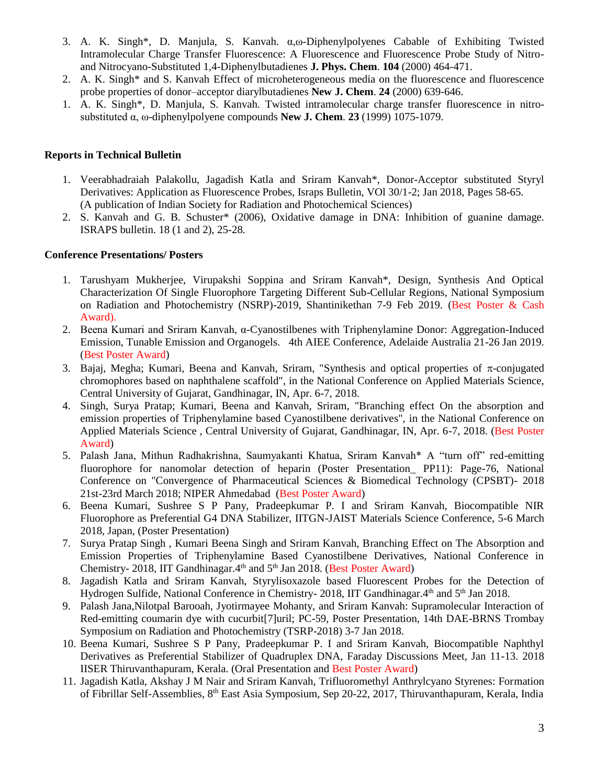- 3. A. K. Singh\*, D. Manjula, S. Kanvah. α,ω-Diphenylpolyenes Cabable of Exhibiting Twisted Intramolecular Charge Transfer Fluorescence: A Fluorescence and Fluorescence Probe Study of Nitroand Nitrocyano-Substituted 1,4-Diphenylbutadienes **J. Phys. Chem**. **104** (2000) 464-471.
- 2. A. K. Singh\* and S. Kanvah Effect of microheterogeneous media on the fluorescence and fluorescence probe properties of donor–acceptor diarylbutadienes **New J. Chem**. **24** (2000) 639-646.
- 1. A. K. Singh\*, D. Manjula, S. Kanvah. Twisted intramolecular charge transfer fluorescence in nitrosubstituted α, ω-diphenylpolyene compounds **New J. Chem**. **23** (1999) 1075-1079.

### **Reports in Technical Bulletin**

- 1. Veerabhadraiah Palakollu, Jagadish Katla and Sriram Kanvah\*, Donor-Acceptor substituted Styryl Derivatives: Application as Fluorescence Probes, Israps Bulletin, VOl 30/1-2; Jan 2018, Pages 58-65. (A publication of Indian Society for Radiation and Photochemical Sciences)
- 2. S. Kanvah and G. B. Schuster\* (2006), Oxidative damage in DNA: Inhibition of guanine damage. ISRAPS bulletin. 18 (1 and 2), 25-28.

#### **Conference Presentations/ Posters**

- 1. Tarushyam Mukherjee, Virupakshi Soppina and Sriram Kanvah\*, Design, Synthesis And Optical Characterization Of Single Fluorophore Targeting Different Sub-Cellular Regions, National Symposium on Radiation and Photochemistry (NSRP)-2019, Shantinikethan 7-9 Feb 2019. (Best Poster & Cash Award).
- 2. Beena Kumari and Sriram Kanvah, α-Cyanostilbenes with Triphenylamine Donor: Aggregation-Induced Emission, Tunable Emission and Organogels. 4th AIEE Conference, Adelaide Australia 21-26 Jan 2019. (Best Poster Award)
- 3. Bajaj, Megha; Kumari, Beena and Kanvah, Sriram, "Synthesis and optical properties of  $\pi$ -conjugated chromophores based on naphthalene scaffold", in the National Conference on Applied Materials Science, Central University of Gujarat, Gandhinagar, IN, Apr. 6-7, 2018.
- 4. Singh, Surya Pratap; Kumari, Beena and Kanvah, Sriram, "Branching effect On the absorption and emission properties of Triphenylamine based Cyanostilbene derivatives", in the National Conference on Applied Materials Science , Central University of Gujarat, Gandhinagar, IN, Apr. 6-7, 2018. (Best Poster Award)
- 5. Palash Jana, Mithun Radhakrishna, Saumyakanti Khatua, Sriram Kanvah\* A "turn off" red-emitting fluorophore for nanomolar detection of heparin (Poster Presentation PP11): Page-76, National Conference on "Convergence of Pharmaceutical Sciences & Biomedical Technology (CPSBT)- 2018 21st-23rd March 2018; NIPER Ahmedabad (Best Poster Award)
- 6. Beena Kumari, Sushree S P Pany, Pradeepkumar P. I and Sriram Kanvah, Biocompatible NIR Fluorophore as Preferential G4 DNA Stabilizer, IITGN-JAIST Materials Science Conference, 5-6 March 2018, Japan, (Poster Presentation)
- 7. Surya Pratap Singh , Kumari Beena Singh and Sriram Kanvah, Branching Effect on The Absorption and Emission Properties of Triphenylamine Based Cyanostilbene Derivatives, National Conference in Chemistry- 2018, IIT Gandhinagar.4<sup>th</sup> and 5<sup>th</sup> Jan 2018. (Best Poster Award)
- 8. Jagadish Katla and Sriram Kanvah, Styrylisoxazole based Fluorescent Probes for the Detection of Hydrogen Sulfide, National Conference in Chemistry- 2018, IIT Gandhinagar.4<sup>th</sup> and 5<sup>th</sup> Jan 2018.
- 9. Palash Jana,Nilotpal Barooah, Jyotirmayee Mohanty, and Sriram Kanvah: Supramolecular Interaction of Red-emitting coumarin dye with cucurbit[7]uril; PC-59, Poster Presentation, 14th DAE-BRNS Trombay Symposium on Radiation and Photochemistry (TSRP-2018) 3-7 Jan 2018.
- 10. Beena Kumari, Sushree S P Pany, Pradeepkumar P. I and Sriram Kanvah, Biocompatible Naphthyl Derivatives as Preferential Stabilizer of Quadruplex DNA, Faraday Discussions Meet, Jan 11-13. 2018 IISER Thiruvanthapuram, Kerala. (Oral Presentation and Best Poster Award)
- 11. Jagadish Katla, Akshay J M Nair and Sriram Kanvah, Trifluoromethyl Anthrylcyano Styrenes: Formation of Fibrillar Self-Assemblies, 8th East Asia Symposium, Sep 20-22, 2017, Thiruvanthapuram, Kerala, India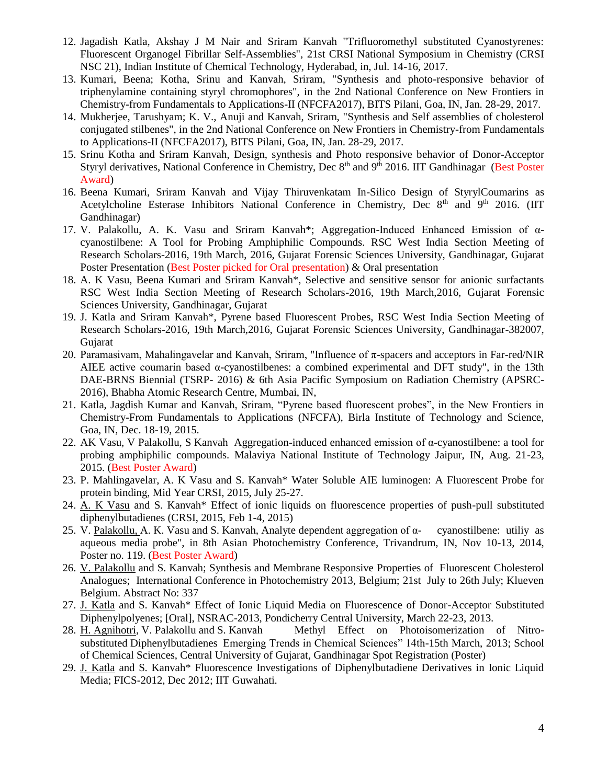- 12. Jagadish Katla, Akshay J M Nair and Sriram Kanvah "Trifluoromethyl substituted Cyanostyrenes: Fluorescent Organogel Fibrillar Self-Assemblies", 21st CRSI National Symposium in Chemistry (CRSI NSC 21), Indian Institute of Chemical Technology, Hyderabad, in, Jul. 14-16, 2017.
- 13. Kumari, Beena; Kotha, Srinu and Kanvah, Sriram, "Synthesis and photo-responsive behavior of triphenylamine containing styryl chromophores", in the 2nd National Conference on New Frontiers in Chemistry-from Fundamentals to Applications-II (NFCFA2017), BITS Pilani, Goa, IN, Jan. 28-29, 2017.
- 14. Mukherjee, Tarushyam; K. V., Anuji and Kanvah, Sriram, "Synthesis and Self assemblies of cholesterol conjugated stilbenes", in the 2nd National Conference on New Frontiers in Chemistry-from Fundamentals to Applications-II (NFCFA2017), BITS Pilani, Goa, IN, Jan. 28-29, 2017.
- 15. Srinu Kotha and Sriram Kanvah, Design, synthesis and Photo responsive behavior of Donor-Acceptor Styryl derivatives, National Conference in Chemistry, Dec 8<sup>th</sup> and 9<sup>th</sup> 2016. IIT Gandhinagar (Best Poster Award)
- 16. Beena Kumari, Sriram Kanvah and Vijay Thiruvenkatam In-Silico Design of StyrylCoumarins as Acetylcholine Esterase Inhibitors National Conference in Chemistry, Dec  $8<sup>th</sup>$  and  $9<sup>th</sup>$  2016. (IIT Gandhinagar)
- 17. V. Palakollu, A. K. Vasu and Sriram Kanvah\*; Aggregation-Induced Enhanced Emission of αcyanostilbene: A Tool for Probing Amphiphilic Compounds. RSC West India Section Meeting of Research Scholars-2016, 19th March, 2016, Gujarat Forensic Sciences University, Gandhinagar, Gujarat Poster Presentation (Best Poster picked for Oral presentation) & Oral presentation
- 18. A. K Vasu, Beena Kumari and Sriram Kanvah\*, Selective and sensitive sensor for anionic surfactants RSC West India Section Meeting of Research Scholars-2016, 19th March,2016, Gujarat Forensic Sciences University, Gandhinagar, Gujarat
- 19. J. Katla and Sriram Kanvah\*, Pyrene based Fluorescent Probes, RSC West India Section Meeting of Research Scholars-2016, 19th March,2016, Gujarat Forensic Sciences University, Gandhinagar-382007, Gujarat
- 20. Paramasivam, Mahalingavelar and Kanvah, Sriram, "Influence of  $\pi$ -spacers and acceptors in Far-red/NIR AIEE active coumarin based  $\alpha$ -cyanostilbenes: a combined experimental and DFT study", in the 13th DAE-BRNS Biennial (TSRP- 2016) & 6th Asia Pacific Symposium on Radiation Chemistry (APSRC-2016), Bhabha Atomic Research Centre, Mumbai, IN,
- 21. Katla, Jagdish Kumar and Kanvah, Sriram, "Pyrene based fluorescent probes", in the New Frontiers in Chemistry-From Fundamentals to Applications (NFCFA), Birla Institute of Technology and Science, Goa, IN, Dec. 18-19, 2015.
- 22. AK Vasu, V Palakollu, S Kanvah Aggregation-induced enhanced emission of α-cyanostilbene: a tool for probing amphiphilic compounds. Malaviya National Institute of Technology Jaipur, IN, Aug. 21-23, 2015. (Best Poster Award)
- 23. P. Mahlingavelar, A. K Vasu and S. Kanvah\* Water Soluble AIE luminogen: A Fluorescent Probe for protein binding, Mid Year CRSI, 2015, July 25-27.
- 24. A. K Vasu and S. Kanvah\* Effect of ionic liquids on fluorescence properties of push-pull substituted diphenylbutadienes (CRSI, 2015, Feb 1-4, 2015)
- 25. V. Palakollu, A. K. Vasu and S. Kanvah, Analyte dependent aggregation of  $\alpha$  cyanostilbene: utiliy as aqueous media probe", in 8th Asian Photochemistry Conference, Trivandrum, IN, Nov 10-13, 2014, Poster no. 119. (Best Poster Award)
- 26. V. Palakollu and S. Kanvah; Synthesis and Membrane Responsive Properties of Fluorescent Cholesterol Analogues; International Conference in Photochemistry 2013, Belgium; 21st July to 26th July; Klueven Belgium. Abstract No: 337
- 27. J. Katla and S. Kanvah\* Effect of Ionic Liquid Media on Fluorescence of Donor-Acceptor Substituted Diphenylpolyenes; [Oral], NSRAC-2013, Pondicherry Central University, March 22-23, 2013.
- 28. H. Agnihotri, V. Palakollu and S. Kanvah Methyl Effect on Photoisomerization of Nitrosubstituted Diphenylbutadienes Emerging Trends in Chemical Sciences" 14th-15th March, 2013; School of Chemical Sciences, Central University of Gujarat, Gandhinagar Spot Registration (Poster)
- 29. J. Katla and S. Kanvah\* Fluorescence Investigations of Diphenylbutadiene Derivatives in Ionic Liquid Media; FICS-2012, Dec 2012; IIT Guwahati.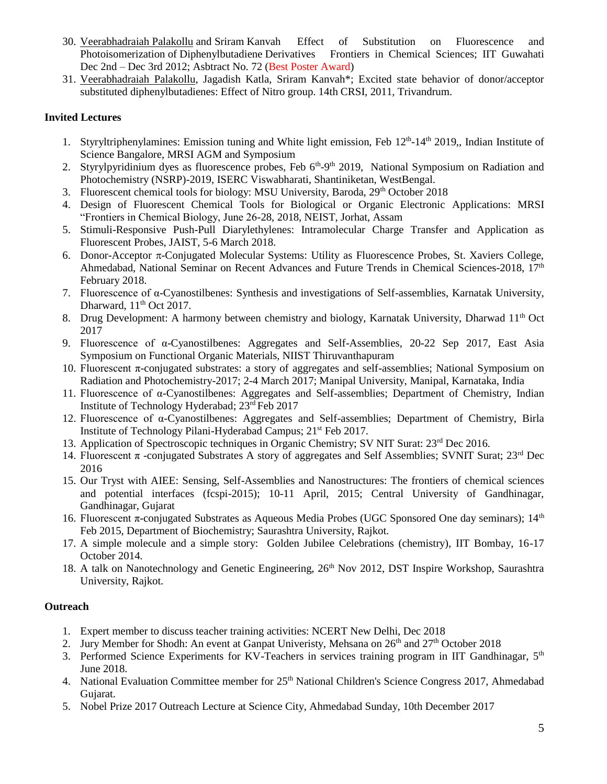- 30. Veerabhadraiah Palakollu and Sriram Kanvah Effect of Substitution on Fluorescence and Photoisomerization of Diphenylbutadiene Derivatives Frontiers in Chemical Sciences; IIT Guwahati Dec 2nd – Dec 3rd 2012; Asbtract No. 72 (Best Poster Award)
- 31. Veerabhadraiah Palakollu, Jagadish Katla, Sriram Kanvah\*; Excited state behavior of donor/acceptor substituted diphenylbutadienes: Effect of Nitro group. 14th CRSI, 2011, Trivandrum.

# **Invited Lectures**

- 1. Styryltriphenylamines: Emission tuning and White light emission, Feb 12<sup>th</sup>-14<sup>th</sup> 2019,, Indian Institute of Science Bangalore, MRSI AGM and Symposium
- 2. Styrylpyridinium dyes as fluorescence probes, Feb 6<sup>th</sup>-9<sup>th</sup> 2019, National Symposium on Radiation and Photochemistry (NSRP)-2019, ISERC Viswabharati, Shantiniketan, WestBengal.
- 3. Fluorescent chemical tools for biology: MSU University, Baroda, 29<sup>th</sup> October 2018
- 4. Design of Fluorescent Chemical Tools for Biological or Organic Electronic Applications: MRSI "Frontiers in Chemical Biology, June 26-28, 2018, NEIST, Jorhat, Assam
- 5. Stimuli-Responsive Push-Pull Diarylethylenes: Intramolecular Charge Transfer and Application as Fluorescent Probes, JAIST, 5-6 March 2018.
- 6. Donor-Acceptor  $\pi$ -Conjugated Molecular Systems: Utility as Fluorescence Probes, St. Xaviers College, Ahmedabad, National Seminar on Recent Advances and Future Trends in Chemical Sciences-2018, 17<sup>th</sup> February 2018.
- 7. Fluorescence of α-Cyanostilbenes: Synthesis and investigations of Self-assemblies, Karnatak University, Dharward,  $11<sup>th</sup>$  Oct 2017.
- 8. Drug Development: A harmony between chemistry and biology, Karnatak University, Dharwad 11<sup>th</sup> Oct 2017
- 9. Fluorescence of α-Cyanostilbenes: Aggregates and Self-Assemblies, 20-22 Sep 2017, East Asia Symposium on Functional Organic Materials, NIIST Thiruvanthapuram
- 10. Fluorescent π-conjugated substrates: a story of aggregates and self-assemblies; National Symposium on Radiation and Photochemistry-2017; 2-4 March 2017; Manipal University, Manipal, Karnataka, India
- 11. Fluorescence of α-Cyanostilbenes: Aggregates and Self-assemblies; Department of Chemistry, Indian Institute of Technology Hyderabad; 23rd Feb 2017
- 12. Fluorescence of α-Cyanostilbenes: Aggregates and Self-assemblies; Department of Chemistry, Birla Institute of Technology Pilani-Hyderabad Campus; 21st Feb 2017.
- 13. Application of Spectroscopic techniques in Organic Chemistry; SV NIT Surat: 23rd Dec 2016.
- 14. Fluorescent  $\pi$  -conjugated Substrates A story of aggregates and Self Assemblies; SVNIT Surat; 23<sup>rd</sup> Dec 2016
- 15. Our Tryst with AIEE: Sensing, Self-Assemblies and Nanostructures: The frontiers of chemical sciences and potential interfaces (fcspi-2015); 10-11 April, 2015; Central University of Gandhinagar, Gandhinagar, Gujarat
- 16. Fluorescent π-conjugated Substrates as Aqueous Media Probes (UGC Sponsored One day seminars);  $14<sup>th</sup>$ Feb 2015, Department of Biochemistry; Saurashtra University, Rajkot.
- 17. A simple molecule and a simple story: Golden Jubilee Celebrations (chemistry), IIT Bombay, 16-17 October 2014.
- 18. A talk on Nanotechnology and Genetic Engineering, 26<sup>th</sup> Nov 2012, DST Inspire Workshop, Saurashtra University, Rajkot.

# **Outreach**

- 1. Expert member to discuss teacher training activities: NCERT New Delhi, Dec 2018
- 2. Jury Member for Shodh: An event at Ganpat University, Mehsana on  $26<sup>th</sup>$  and  $27<sup>th</sup>$  October 2018
- 3. Performed Science Experiments for KV-Teachers in services training program in IIT Gandhinagar,  $5<sup>th</sup>$ June 2018.
- 4. National Evaluation Committee member for 25<sup>th</sup> National Children's Science Congress 2017, Ahmedabad Gujarat.
- 5. Nobel Prize 2017 Outreach Lecture at Science City, Ahmedabad Sunday, 10th December 2017